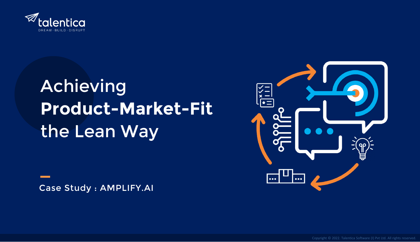

# **Achieving Product-Market-Fit**  the Lean Way

Case Study : AMPLIFY.AI

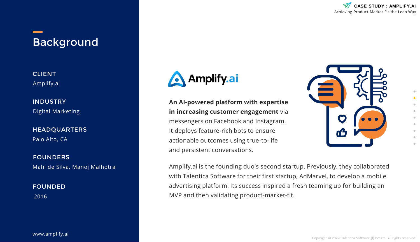

# Background

CLIENT Amplify.ai

INDUSTRY Digital Marketing

HEADQUARTERS

Palo Alto, CA

FOUNDERS Mahi de Silva, Manoj Malhotra

FOUNDED 2016

www.amplify.ai



**An AI-powered platform with expertise in increasing customer engagement** via messengers on Facebook and Instagram. It deploys feature-rich bots to ensure actionable outcomes using true-to-life and persistent conversations.



Amplify.ai is the founding duo's second startup. Previously, they collaborated with Talentica Software for their first startup, AdMarvel, to develop a mobile advertising platform. Its success inspired a fresh teaming up for building an MVP and then validating product-market-fit.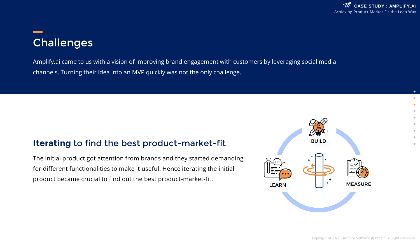# **Challenges**

Amplify.ai came to us with a vision of improving brand engagement with customers by leveraging social media channels. Turning their idea into an MVP quickly was not the only challenge.

### **Iterating** to find the best product-market-fit

The initial product got attention from brands and they started demanding for different functionalities to make it useful. Hence iterating the initial product became crucial to find out the best product-market-fit.

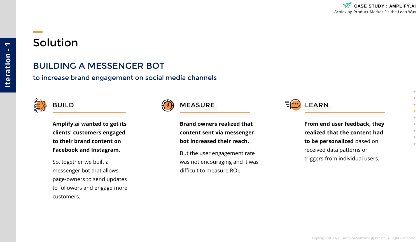# Solution

### BUILDING A MESSENGER BOT

to increase brand engagement on social media channels



**Amplify.ai wanted to get its clients' customers engaged to their brand content on Facebook and Instagram**.

So, together we built a messenger bot that allows page-owners to send updates to followers and engage more customers.



**Brand owners realized that content sent via messenger bot increased their reach.** 

But the user engagement rate was not encouraging and it was difficult to measure ROI.



**From end user feedback, they realized that the content had to be personalized** based on received data patterns or triggers from individual users.

**Iteration - 1**

Iteration-

 $\overline{\phantom{0}}$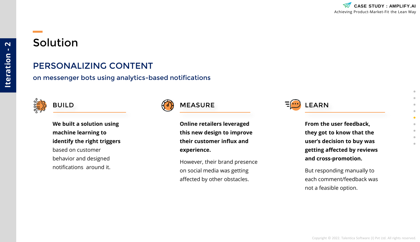# Solution

### PERSONALIZING CONTENT

on messenger bots using analytics-based notifications



**We built a solution using machine learning to identify the right triggers**  based on customer behavior and designed notifications around it.



**Online retailers leveraged this new design to improve their customer influx and experience.** 

However, their brand presence on social media was getting affected by other obstacles.

BUILD  $\left(\begin{matrix} 0 \\ 1 \end{matrix}\right)$  MEASURE  $\left[\begin{matrix} \cdots \\ \cdots \end{matrix}\right]$  LEARN

**From the user feedback, they got to know that the user's decision to buy was getting affected by reviews and cross-promotion.** 

But responding manually to each comment/feedback was not a feasible option.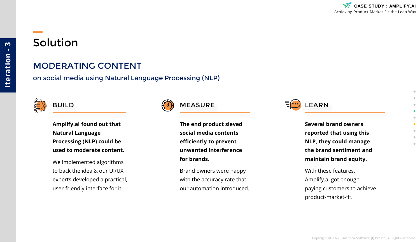### MODERATING CONTENT

on social media using Natural Language Processing (NLP)



**Amplify.ai found out that Natural Language Processing (NLP) could be used to moderate content.** 

We implemented algorithms to back the idea & our UI/UX experts developed a practical, user-friendly interface for it.



**The end product sieved social media contents efficiently to prevent unwanted interference for brands.** 

Brand owners were happy with the accuracy rate that our automation introduced.

BUILD  $\left(\begin{matrix} 1 \\ 0 \end{matrix}\right)$  MEASURE  $\left[\begin{matrix} 1 \\ 0 \end{matrix}\right]$  LEARN

**Several brand owners reported that using this NLP, they could manage the brand sentiment and maintain brand equity.** 

With these features, Amplify.ai got enough paying customers to achieve product-market-fit.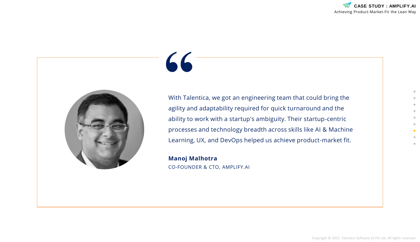

# **"**

With Talentica, we got an engineering team that could bring the agility and adaptability required for quick turnaround and the ability to work with a startup's ambiguity. Their startup-centric processes and technology breadth across skills like AI & Machine Learning, UX, and DevOps helped us achieve product-market fit.

**Manoj Malhotra**  CO-FOUNDER & CTO, AMPLIFY.AI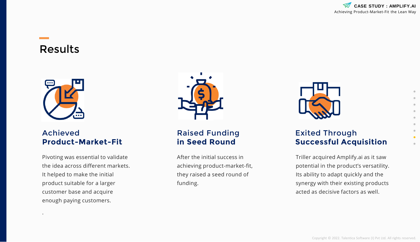

## Results



.

### Achieved **Product-Market-Fit**

Pivoting was essential to validate the idea across different markets. It helped to make the initial product suitable for a larger customer base and acquire enough paying customers.



### Raised Funding **in Seed Round**

After the initial success in achieving product-market-fit, they raised a seed round of funding.



### Exited Through **Successful Acquisition**

Triller acquired Amplify.ai as it saw potential in the product's versatility. Its ability to adapt quickly and the synergy with their existing products acted as decisive factors as well.